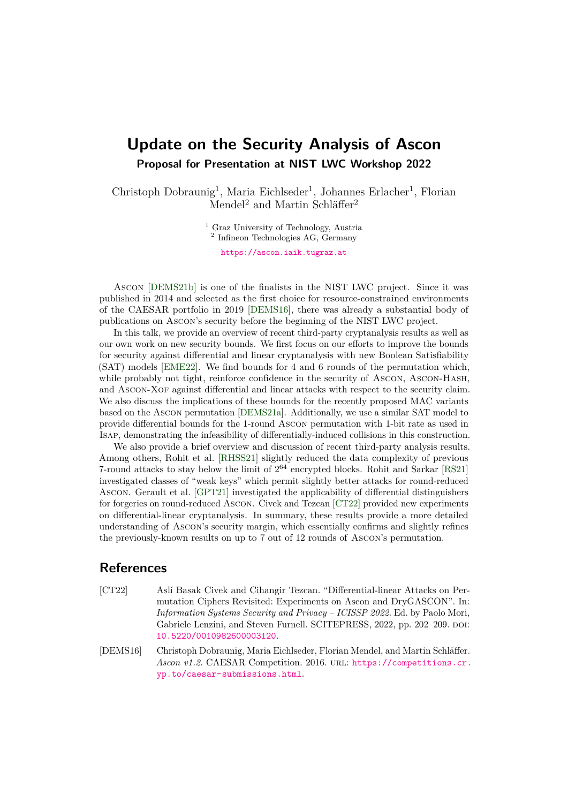## **Update on the Security Analysis of Ascon Proposal for Presentation at NIST LWC Workshop 2022**

Christoph Dobraunig<sup>1</sup>, Maria Eichlseder<sup>1</sup>, Johannes Erlacher<sup>1</sup>, Florian Mendel<sup>2</sup> and Martin Schläffer<sup>2</sup>

> <sup>1</sup> Graz University of Technology, Austria <sup>2</sup> Infineon Technologies AG, Germany [https://ascon.iaik.tugraz.at](mailto:https://ascon.iaik.tugraz.at)

Ascon [\[DEMS21b\]](#page-1-0) is one of the finalists in the NIST LWC project. Since it was published in 2014 and selected as the first choice for resource-constrained environments of the CAESAR portfolio in 2019 [\[DEMS16\]](#page-0-0), there was already a substantial body of publications on Ascon's security before the beginning of the NIST LWC project.

In this talk, we provide an overview of recent third-party cryptanalysis results as well as our own work on new security bounds. We first focus on our efforts to improve the bounds for security against differential and linear cryptanalysis with new Boolean Satisfiability (SAT) models [\[EME22\]](#page-1-1). We find bounds for 4 and 6 rounds of the permutation which, while probably not tight, reinforce confidence in the security of Ascon, Ascon-Hash, and Ascon-Xof against differential and linear attacks with respect to the security claim. We also discuss the implications of these bounds for the recently proposed MAC variants based on the Ascon permutation [\[DEMS21a\]](#page-1-2). Additionally, we use a similar SAT model to provide differential bounds for the 1-round Ascon permutation with 1-bit rate as used in Isap, demonstrating the infeasibility of differentially-induced collisions in this construction.

We also provide a brief overview and discussion of recent third-party analysis results. Among others, Rohit et al. [\[RHSS21\]](#page-1-3) slightly reduced the data complexity of previous 7-round attacks to stay below the limit of  $2^{64}$  encrypted blocks. Rohit and Sarkar [\[RS21\]](#page-1-4) investigated classes of "weak keys" which permit slightly better attacks for round-reduced Ascon. Gerault et al. [\[GPT21\]](#page-1-5) investigated the applicability of differential distinguishers for forgeries on round-reduced Ascon. Civek and Tezcan [\[CT22\]](#page-0-1) provided new experiments on differential-linear cryptanalysis. In summary, these results provide a more detailed understanding of Ascon's security margin, which essentially confirms and slightly refines the previously-known results on up to 7 out of 12 rounds of Ascon's permutation.

## **References**

- <span id="page-0-1"></span>[CT22] Aslí Basak Civek and Cihangir Tezcan. "Differential-linear Attacks on Permutation Ciphers Revisited: Experiments on Ascon and DryGASCON". In: *Information Systems Security and Privacy – ICISSP 2022*. Ed. by Paolo Mori, Gabriele Lenzini, and Steven Furnell. SCITEPRESS, 2022, pp. 202-209. DOI: [10.5220/0010982600003120](https://doi.org/10.5220/0010982600003120).
- <span id="page-0-0"></span>[DEMS16] Christoph Dobraunig, Maria Eichlseder, Florian Mendel, and Martin Schläffer. *Ascon v1.2*. CAESAR Competition. 2016. url: [https://competitions.cr.](https://competitions.cr.yp.to/caesar-submissions.html) [yp.to/caesar-submissions.html](https://competitions.cr.yp.to/caesar-submissions.html).